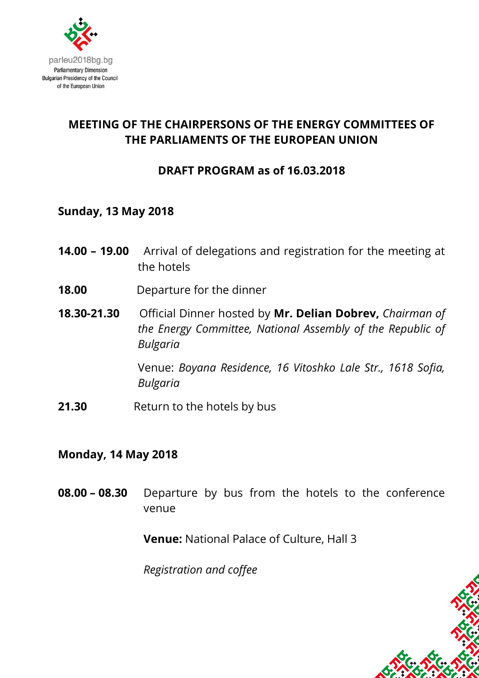

# **MEETING OF THE CHAIRPERSONS OF THE ENERGY COMMITTEES OF THE PARLIAMENTS OF THE EUROPEAN UNION**

## **DRAFT PROGRAM as of 16.03.2018**

#### **Sunday, 13 May 2018**

- **14.00 – 19.00** Arrival of delegations and registration for the meeting at the hotels
- **18.00** Departure for the dinner
- **18.30-21.30** Official Dinner hosted by **Mr. Delian Dobrev,** *Chairman of the Energy Committee, National Assembly of the Republic of Bulgaria*

Venue: *Boyana Residence, 16 Vitoshko Lale Str., 1618 Sofia, Bulgaria* 

**21.30** Return to the hotels by bus

#### **Monday, 14 May 2018**

**08.00 – 08.30** Departure by bus from the hotels to the conference venue

**Venue:** National Palace of Culture, Hall 3

*Registration and coffee*

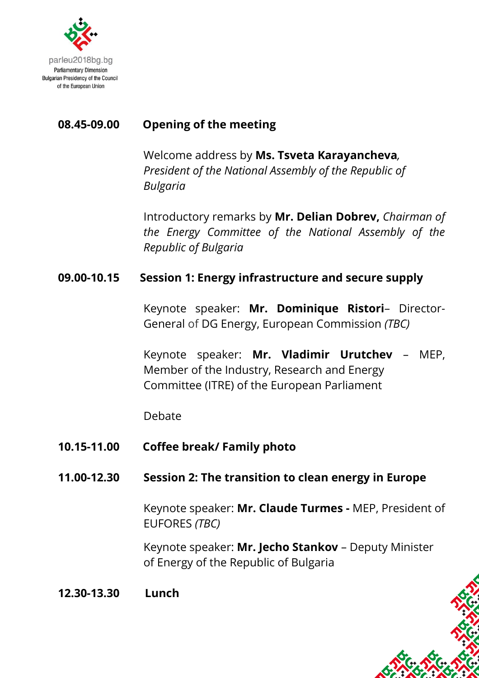

# **08.45-09.00 Opening of the meeting**

Welcome address by **Ms. Tsveta Karayancheva***, President of the National Assembly of the Republic of Bulgaria*

Introductory remarks by **Mr. Delian Dobrev,** *Chairman of the Energy Committee of the National Assembly of the Republic of Bulgaria*

### **09.00-10.15 Session 1: Energy infrastructure and secure supply**

Keynote speaker: **Mr. Dominique Ristori**– Director-General of DG Energy, European Commission *(TBC)*

Keynote speaker: **Mr. Vladimir Urutchev** – MEP, Member of the Industry, Research and Energy Committee (ITRE) of the European Parliament

Debate

**10.15-11.00 Coffee break/ Family photo**

### **11.00-12.30 Session 2: The transition to clean energy in Europe**

Keynote speaker: **Mr. Claude Turmes -** MEP, President of EUFORES *(TBC)*

Keynote speaker: **Mr. Jecho Stankov** – Deputy Minister of Energy of the Republic of Bulgaria

**12.30-13.30 Lunch**